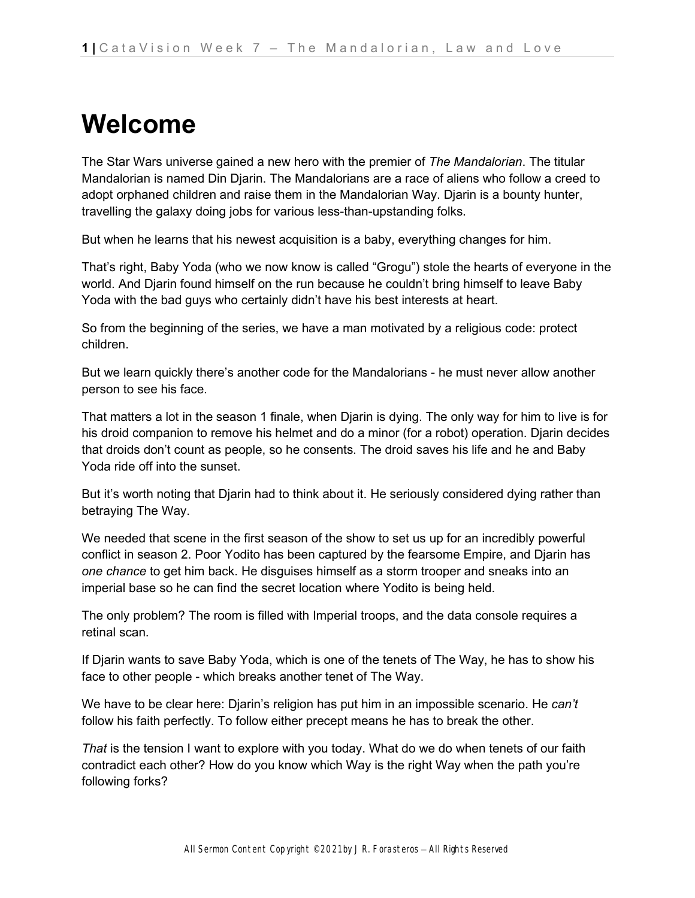## **Welcome**

The Star Wars universe gained a new hero with the premier of *The Mandalorian*. The titular Mandalorian is named Din Djarin. The Mandalorians are a race of aliens who follow a creed to adopt orphaned children and raise them in the Mandalorian Way. Djarin is a bounty hunter, travelling the galaxy doing jobs for various less-than-upstanding folks.

But when he learns that his newest acquisition is a baby, everything changes for him.

That's right, Baby Yoda (who we now know is called "Grogu") stole the hearts of everyone in the world. And Djarin found himself on the run because he couldn't bring himself to leave Baby Yoda with the bad guys who certainly didn't have his best interests at heart.

So from the beginning of the series, we have a man motivated by a religious code: protect children.

But we learn quickly there's another code for the Mandalorians - he must never allow another person to see his face.

That matters a lot in the season 1 finale, when Djarin is dying. The only way for him to live is for his droid companion to remove his helmet and do a minor (for a robot) operation. Djarin decides that droids don't count as people, so he consents. The droid saves his life and he and Baby Yoda ride off into the sunset.

But it's worth noting that Djarin had to think about it. He seriously considered dying rather than betraying The Way.

We needed that scene in the first season of the show to set us up for an incredibly powerful conflict in season 2. Poor Yodito has been captured by the fearsome Empire, and Djarin has *one chance* to get him back. He disguises himself as a storm trooper and sneaks into an imperial base so he can find the secret location where Yodito is being held.

The only problem? The room is filled with Imperial troops, and the data console requires a retinal scan.

If Djarin wants to save Baby Yoda, which is one of the tenets of The Way, he has to show his face to other people - which breaks another tenet of The Way.

We have to be clear here: Djarin's religion has put him in an impossible scenario. He *can't* follow his faith perfectly. To follow either precept means he has to break the other.

*That* is the tension I want to explore with you today. What do we do when tenets of our faith contradict each other? How do you know which Way is the right Way when the path you're following forks?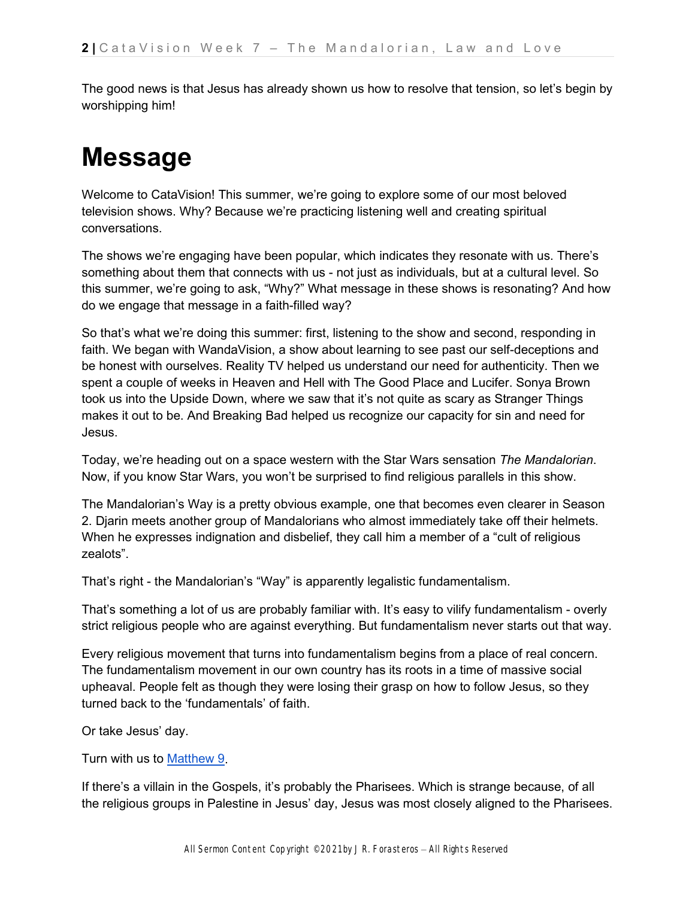The good news is that Jesus has already shown us how to resolve that tension, so let's begin by worshipping him!

## **Message**

Welcome to CataVision! This summer, we're going to explore some of our most beloved television shows. Why? Because we're practicing listening well and creating spiritual conversations.

The shows we're engaging have been popular, which indicates they resonate with us. There's something about them that connects with us - not just as individuals, but at a cultural level. So this summer, we're going to ask, "Why?" What message in these shows is resonating? And how do we engage that message in a faith-filled way?

So that's what we're doing this summer: first, listening to the show and second, responding in faith. We began with WandaVision, a show about learning to see past our self-deceptions and be honest with ourselves. Reality TV helped us understand our need for authenticity. Then we spent a couple of weeks in Heaven and Hell with The Good Place and Lucifer. Sonya Brown took us into the Upside Down, where we saw that it's not quite as scary as Stranger Things makes it out to be. And Breaking Bad helped us recognize our capacity for sin and need for Jesus.

Today, we're heading out on a space western with the Star Wars sensation *The Mandalorian*. Now, if you know Star Wars, you won't be surprised to find religious parallels in this show.

The Mandalorian's Way is a pretty obvious example, one that becomes even clearer in Season 2. Djarin meets another group of Mandalorians who almost immediately take off their helmets. When he expresses indignation and disbelief, they call him a member of a "cult of religious" zealots".

That's right - the Mandalorian's "Way" is apparently legalistic fundamentalism.

That's something a lot of us are probably familiar with. It's easy to vilify fundamentalism - overly strict religious people who are against everything. But fundamentalism never starts out that way.

Every religious movement that turns into fundamentalism begins from a place of real concern. The fundamentalism movement in our own country has its roots in a time of massive social upheaval. People felt as though they were losing their grasp on how to follow Jesus, so they turned back to the 'fundamentals' of faith.

Or take Jesus' day.

Turn with us t[o](https://ref.ly/logosref/bible.61.9) [Matthew 9.](https://ref.ly/logosref/bible.61.9)

If there's a villain in the Gospels, it's probably the Pharisees. Which is strange because, of all the religious groups in Palestine in Jesus' day, Jesus was most closely aligned to the Pharisees.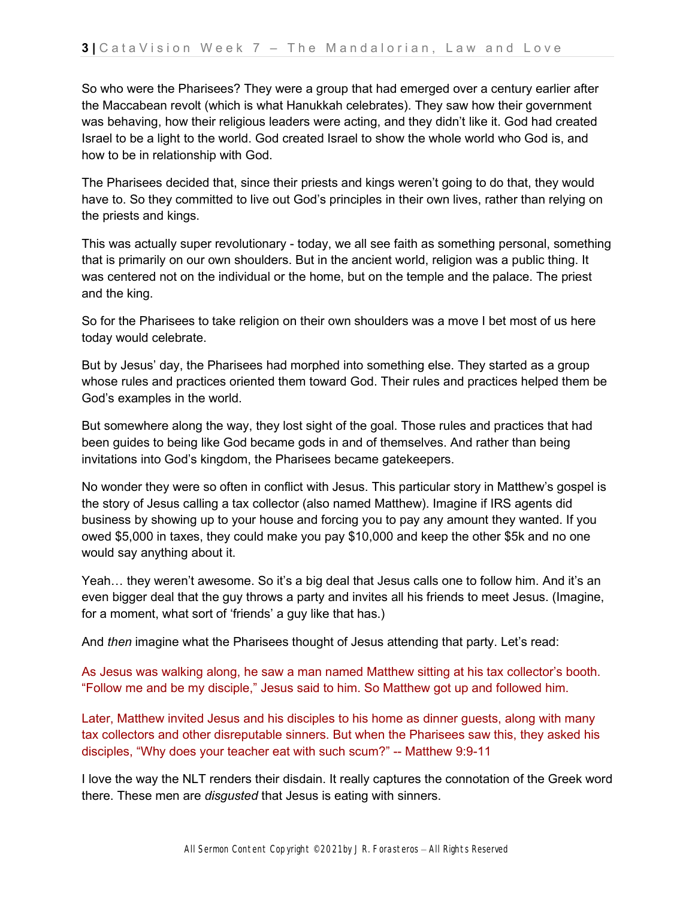So who were the Pharisees? They were a group that had emerged over a century earlier after the Maccabean revolt (which is what Hanukkah celebrates). They saw how their government was behaving, how their religious leaders were acting, and they didn't like it. God had created Israel to be a light to the world. God created Israel to show the whole world who God is, and how to be in relationship with God.

The Pharisees decided that, since their priests and kings weren't going to do that, they would have to. So they committed to live out God's principles in their own lives, rather than relying on the priests and kings.

This was actually super revolutionary - today, we all see faith as something personal, something that is primarily on our own shoulders. But in the ancient world, religion was a public thing. It was centered not on the individual or the home, but on the temple and the palace. The priest and the king.

So for the Pharisees to take religion on their own shoulders was a move I bet most of us here today would celebrate.

But by Jesus' day, the Pharisees had morphed into something else. They started as a group whose rules and practices oriented them toward God. Their rules and practices helped them be God's examples in the world.

But somewhere along the way, they lost sight of the goal. Those rules and practices that had been guides to being like God became gods in and of themselves. And rather than being invitations into God's kingdom, the Pharisees became gatekeepers.

No wonder they were so often in conflict with Jesus. This particular story in Matthew's gospel is the story of Jesus calling a tax collector (also named Matthew). Imagine if IRS agents did business by showing up to your house and forcing you to pay any amount they wanted. If you owed \$5,000 in taxes, they could make you pay \$10,000 and keep the other \$5k and no one would say anything about it.

Yeah… they weren't awesome. So it's a big deal that Jesus calls one to follow him. And it's an even bigger deal that the guy throws a party and invites all his friends to meet Jesus. (Imagine, for a moment, what sort of 'friends' a guy like that has.)

And *then* imagine what the Pharisees thought of Jesus attending that party. Let's read:

As Jesus was walking along, he saw a man named Matthew sitting at his tax collector's booth. "Follow me and be my disciple," Jesus said to him. So Matthew got up and followed him.

Later, Matthew invited Jesus and his disciples to his home as dinner guests, along with many tax collectors and other disreputable sinners. But when the Pharisees saw this, they asked his disciples, "Why does your teacher eat with such scum?" -- Matthew 9:9-11

I love the way the NLT renders their disdain. It really captures the connotation of the Greek word there. These men are *disgusted* that Jesus is eating with sinners.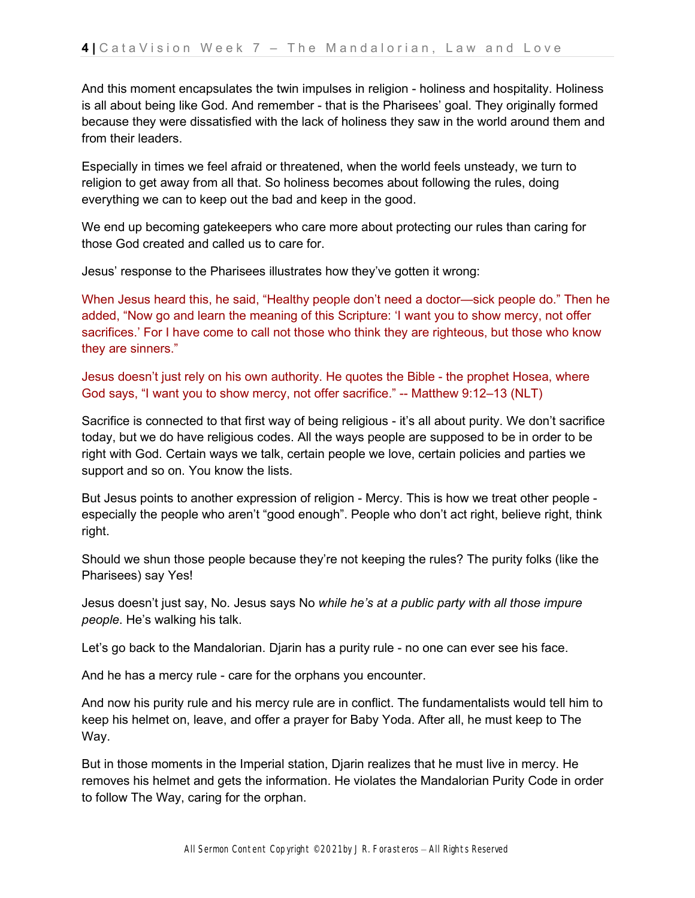And this moment encapsulates the twin impulses in religion - holiness and hospitality. Holiness is all about being like God. And remember - that is the Pharisees' goal. They originally formed because they were dissatisfied with the lack of holiness they saw in the world around them and from their leaders.

Especially in times we feel afraid or threatened, when the world feels unsteady, we turn to religion to get away from all that. So holiness becomes about following the rules, doing everything we can to keep out the bad and keep in the good.

We end up becoming gatekeepers who care more about protecting our rules than caring for those God created and called us to care for.

Jesus' response to the Pharisees illustrates how they've gotten it wrong:

When Jesus heard this, he said, "Healthy people don't need a doctor—sick people do." Then he added, "Now go and learn the meaning of this Scripture: 'I want you to show mercy, not offer sacrifices.' For I have come to call not those who think they are righteous, but those who know they are sinners."

Jesus doesn't just rely on his own authority. He quotes the Bible - the prophet Hosea, where God says, "I want you to show mercy, not offer sacrifice." -- Matthew 9:12–13 (NLT)

Sacrifice is connected to that first way of being religious - it's all about purity. We don't sacrifice today, but we do have religious codes. All the ways people are supposed to be in order to be right with God. Certain ways we talk, certain people we love, certain policies and parties we support and so on. You know the lists.

But Jesus points to another expression of religion - Mercy. This is how we treat other people especially the people who aren't "good enough". People who don't act right, believe right, think right.

Should we shun those people because they're not keeping the rules? The purity folks (like the Pharisees) say Yes!

Jesus doesn't just say, No. Jesus says No *while he's at a public party with all those impure people*. He's walking his talk.

Let's go back to the Mandalorian. Djarin has a purity rule - no one can ever see his face.

And he has a mercy rule - care for the orphans you encounter.

And now his purity rule and his mercy rule are in conflict. The fundamentalists would tell him to keep his helmet on, leave, and offer a prayer for Baby Yoda. After all, he must keep to The Way.

But in those moments in the Imperial station, Djarin realizes that he must live in mercy. He removes his helmet and gets the information. He violates the Mandalorian Purity Code in order to follow The Way, caring for the orphan.